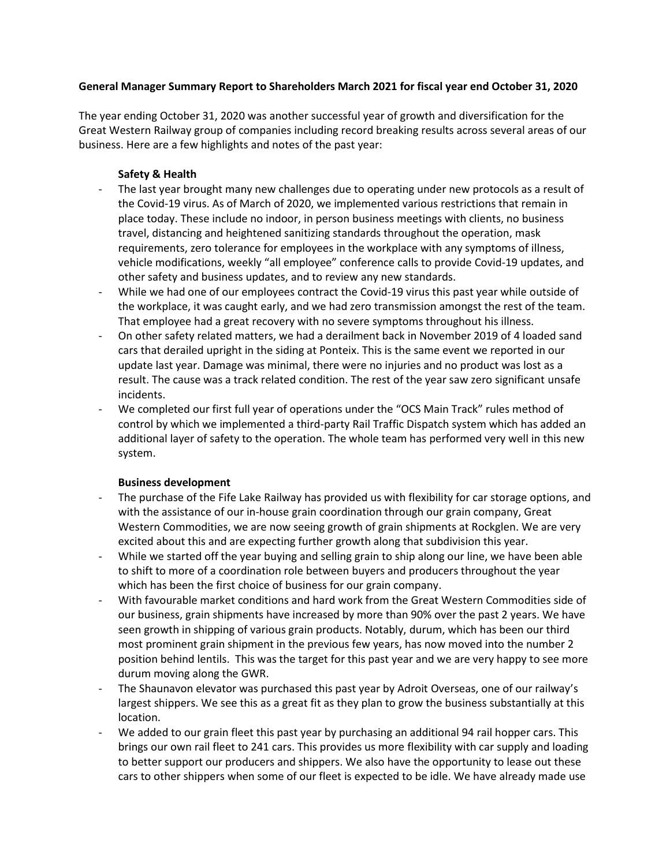### **General Manager Summary Report to Shareholders March 2021 for fiscal year end October 31, 2020**

The year ending October 31, 2020 was another successful year of growth and diversification for the Great Western Railway group of companies including record breaking results across several areas of our business. Here are a few highlights and notes of the past year:

## **Safety & Health**

- The last year brought many new challenges due to operating under new protocols as a result of the Covid-19 virus. As of March of 2020, we implemented various restrictions that remain in place today. These include no indoor, in person business meetings with clients, no business travel, distancing and heightened sanitizing standards throughout the operation, mask requirements, zero tolerance for employees in the workplace with any symptoms of illness, vehicle modifications, weekly "all employee" conference calls to provide Covid-19 updates, and other safety and business updates, and to review any new standards.
- While we had one of our employees contract the Covid-19 virus this past year while outside of the workplace, it was caught early, and we had zero transmission amongst the rest of the team. That employee had a great recovery with no severe symptoms throughout his illness.
- On other safety related matters, we had a derailment back in November 2019 of 4 loaded sand cars that derailed upright in the siding at Ponteix. This is the same event we reported in our update last year. Damage was minimal, there were no injuries and no product was lost as a result. The cause was a track related condition. The rest of the year saw zero significant unsafe incidents.
- We completed our first full year of operations under the "OCS Main Track" rules method of control by which we implemented a third-party Rail Traffic Dispatch system which has added an additional layer of safety to the operation. The whole team has performed very well in this new system.

# **Business development**

- The purchase of the Fife Lake Railway has provided us with flexibility for car storage options, and with the assistance of our in-house grain coordination through our grain company, Great Western Commodities, we are now seeing growth of grain shipments at Rockglen. We are very excited about this and are expecting further growth along that subdivision this year.
- While we started off the year buying and selling grain to ship along our line, we have been able to shift to more of a coordination role between buyers and producers throughout the year which has been the first choice of business for our grain company.
- With favourable market conditions and hard work from the Great Western Commodities side of our business, grain shipments have increased by more than 90% over the past 2 years. We have seen growth in shipping of various grain products. Notably, durum, which has been our third most prominent grain shipment in the previous few years, has now moved into the number 2 position behind lentils. This was the target for this past year and we are very happy to see more durum moving along the GWR.
- The Shaunavon elevator was purchased this past year by Adroit Overseas, one of our railway's largest shippers. We see this as a great fit as they plan to grow the business substantially at this location.
- We added to our grain fleet this past year by purchasing an additional 94 rail hopper cars. This brings our own rail fleet to 241 cars. This provides us more flexibility with car supply and loading to better support our producers and shippers. We also have the opportunity to lease out these cars to other shippers when some of our fleet is expected to be idle. We have already made use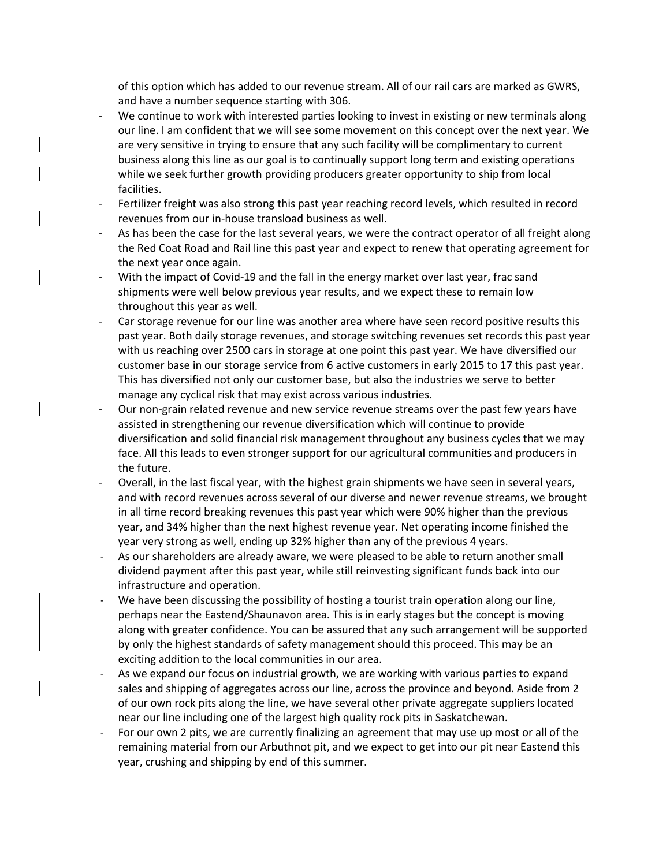of this option which has added to our revenue stream. All of our rail cars are marked as GWRS, and have a number sequence starting with 306.

- We continue to work with interested parties looking to invest in existing or new terminals along our line. I am confident that we will see some movement on this concept over the next year. We are very sensitive in trying to ensure that any such facility will be complimentary to current business along this line as our goal is to continually support long term and existing operations while we seek further growth providing producers greater opportunity to ship from local facilities.
- Fertilizer freight was also strong this past year reaching record levels, which resulted in record revenues from our in-house transload business as well.
- As has been the case for the last several years, we were the contract operator of all freight along the Red Coat Road and Rail line this past year and expect to renew that operating agreement for the next year once again.
- With the impact of Covid-19 and the fall in the energy market over last year, frac sand shipments were well below previous year results, and we expect these to remain low throughout this year as well.
- Car storage revenue for our line was another area where have seen record positive results this past year. Both daily storage revenues, and storage switching revenues set records this past year with us reaching over 2500 cars in storage at one point this past year. We have diversified our customer base in our storage service from 6 active customers in early 2015 to 17 this past year. This has diversified not only our customer base, but also the industries we serve to better manage any cyclical risk that may exist across various industries.
- Our non-grain related revenue and new service revenue streams over the past few years have assisted in strengthening our revenue diversification which will continue to provide diversification and solid financial risk management throughout any business cycles that we may face. All this leads to even stronger support for our agricultural communities and producers in the future.
- Overall, in the last fiscal year, with the highest grain shipments we have seen in several years, and with record revenues across several of our diverse and newer revenue streams, we brought in all time record breaking revenues this past year which were 90% higher than the previous year, and 34% higher than the next highest revenue year. Net operating income finished the year very strong as well, ending up 32% higher than any of the previous 4 years.
- As our shareholders are already aware, we were pleased to be able to return another small dividend payment after this past year, while still reinvesting significant funds back into our infrastructure and operation.
- We have been discussing the possibility of hosting a tourist train operation along our line, perhaps near the Eastend/Shaunavon area. This is in early stages but the concept is moving along with greater confidence. You can be assured that any such arrangement will be supported by only the highest standards of safety management should this proceed. This may be an exciting addition to the local communities in our area.
- As we expand our focus on industrial growth, we are working with various parties to expand sales and shipping of aggregates across our line, across the province and beyond. Aside from 2 of our own rock pits along the line, we have several other private aggregate suppliers located near our line including one of the largest high quality rock pits in Saskatchewan.
- For our own 2 pits, we are currently finalizing an agreement that may use up most or all of the remaining material from our Arbuthnot pit, and we expect to get into our pit near Eastend this year, crushing and shipping by end of this summer.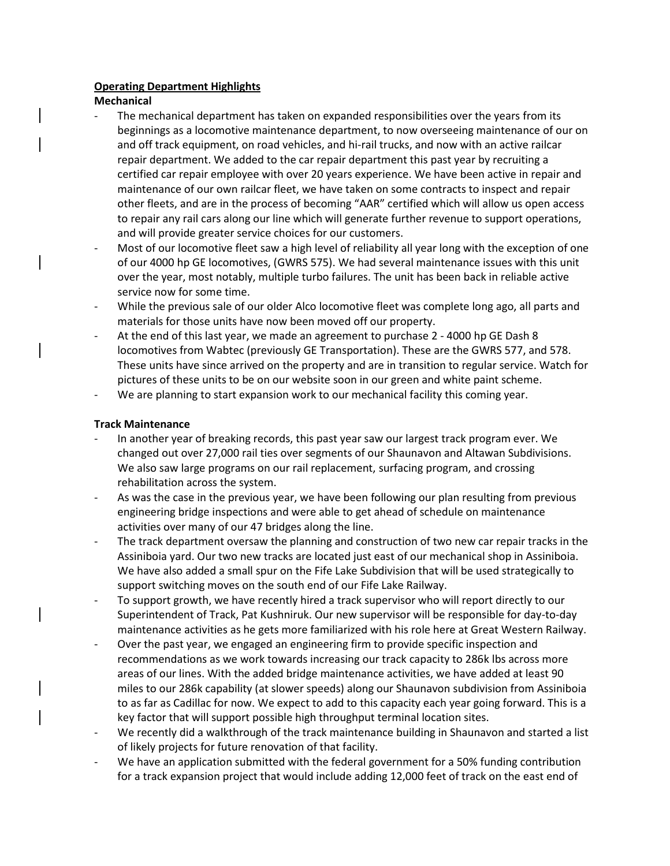## **Operating Department Highlights**

### **Mechanical**

- The mechanical department has taken on expanded responsibilities over the years from its beginnings as a locomotive maintenance department, to now overseeing maintenance of our on and off track equipment, on road vehicles, and hi-rail trucks, and now with an active railcar repair department. We added to the car repair department this past year by recruiting a certified car repair employee with over 20 years experience. We have been active in repair and maintenance of our own railcar fleet, we have taken on some contracts to inspect and repair other fleets, and are in the process of becoming "AAR" certified which will allow us open access to repair any rail cars along our line which will generate further revenue to support operations, and will provide greater service choices for our customers.
- Most of our locomotive fleet saw a high level of reliability all year long with the exception of one of our 4000 hp GE locomotives, (GWRS 575). We had several maintenance issues with this unit over the year, most notably, multiple turbo failures. The unit has been back in reliable active service now for some time.
- While the previous sale of our older Alco locomotive fleet was complete long ago, all parts and materials for those units have now been moved off our property.
- At the end of this last year, we made an agreement to purchase 2 4000 hp GE Dash 8 locomotives from Wabtec (previously GE Transportation). These are the GWRS 577, and 578. These units have since arrived on the property and are in transition to regular service. Watch for pictures of these units to be on our website soon in our green and white paint scheme.
- We are planning to start expansion work to our mechanical facility this coming year.

# **Track Maintenance**

- In another year of breaking records, this past year saw our largest track program ever. We changed out over 27,000 rail ties over segments of our Shaunavon and Altawan Subdivisions. We also saw large programs on our rail replacement, surfacing program, and crossing rehabilitation across the system.
- As was the case in the previous year, we have been following our plan resulting from previous engineering bridge inspections and were able to get ahead of schedule on maintenance activities over many of our 47 bridges along the line.
- The track department oversaw the planning and construction of two new car repair tracks in the Assiniboia yard. Our two new tracks are located just east of our mechanical shop in Assiniboia. We have also added a small spur on the Fife Lake Subdivision that will be used strategically to support switching moves on the south end of our Fife Lake Railway.
- To support growth, we have recently hired a track supervisor who will report directly to our Superintendent of Track, Pat Kushniruk. Our new supervisor will be responsible for day-to-day maintenance activities as he gets more familiarized with his role here at Great Western Railway.
- Over the past year, we engaged an engineering firm to provide specific inspection and recommendations as we work towards increasing our track capacity to 286k lbs across more areas of our lines. With the added bridge maintenance activities, we have added at least 90 miles to our 286k capability (at slower speeds) along our Shaunavon subdivision from Assiniboia to as far as Cadillac for now. We expect to add to this capacity each year going forward. This is a key factor that will support possible high throughput terminal location sites.
- We recently did a walkthrough of the track maintenance building in Shaunavon and started a list of likely projects for future renovation of that facility.
- We have an application submitted with the federal government for a 50% funding contribution for a track expansion project that would include adding 12,000 feet of track on the east end of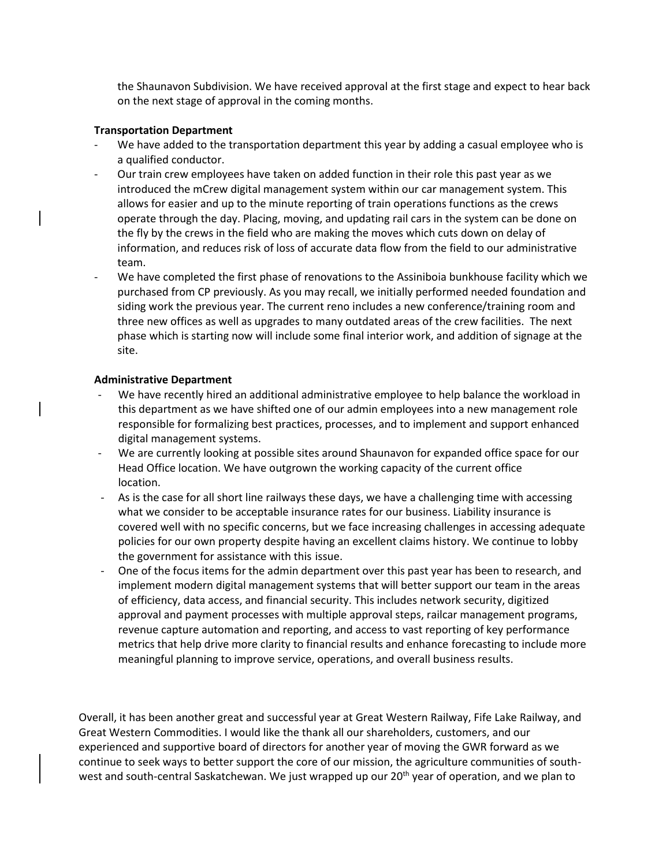the Shaunavon Subdivision. We have received approval at the first stage and expect to hear back on the next stage of approval in the coming months.

#### **Transportation Department**

- We have added to the transportation department this year by adding a casual employee who is a qualified conductor.
- Our train crew employees have taken on added function in their role this past year as we introduced the mCrew digital management system within our car management system. This allows for easier and up to the minute reporting of train operations functions as the crews operate through the day. Placing, moving, and updating rail cars in the system can be done on the fly by the crews in the field who are making the moves which cuts down on delay of information, and reduces risk of loss of accurate data flow from the field to our administrative team.
- We have completed the first phase of renovations to the Assiniboia bunkhouse facility which we purchased from CP previously. As you may recall, we initially performed needed foundation and siding work the previous year. The current reno includes a new conference/training room and three new offices as well as upgrades to many outdated areas of the crew facilities. The next phase which is starting now will include some final interior work, and addition of signage at the site.

#### **Administrative Department**

- We have recently hired an additional administrative employee to help balance the workload in this department as we have shifted one of our admin employees into a new management role responsible for formalizing best practices, processes, and to implement and support enhanced digital management systems.
- We are currently looking at possible sites around Shaunavon for expanded office space for our Head Office location. We have outgrown the working capacity of the current office location.
- As is the case for all short line railways these days, we have a challenging time with accessing what we consider to be acceptable insurance rates for our business. Liability insurance is covered well with no specific concerns, but we face increasing challenges in accessing adequate policies for our own property despite having an excellent claims history. We continue to lobby the government for assistance with this issue.
- One of the focus items for the admin department over this past year has been to research, and implement modern digital management systems that will better support our team in the areas of efficiency, data access, and financial security. This includes network security, digitized approval and payment processes with multiple approval steps, railcar management programs, revenue capture automation and reporting, and access to vast reporting of key performance metrics that help drive more clarity to financial results and enhance forecasting to include more meaningful planning to improve service, operations, and overall business results.

Overall, it has been another great and successful year at Great Western Railway, Fife Lake Railway, and Great Western Commodities. I would like the thank all our shareholders, customers, and our experienced and supportive board of directors for another year of moving the GWR forward as we continue to seek ways to better support the core of our mission, the agriculture communities of southwest and south-central Saskatchewan. We just wrapped up our 20<sup>th</sup> year of operation, and we plan to